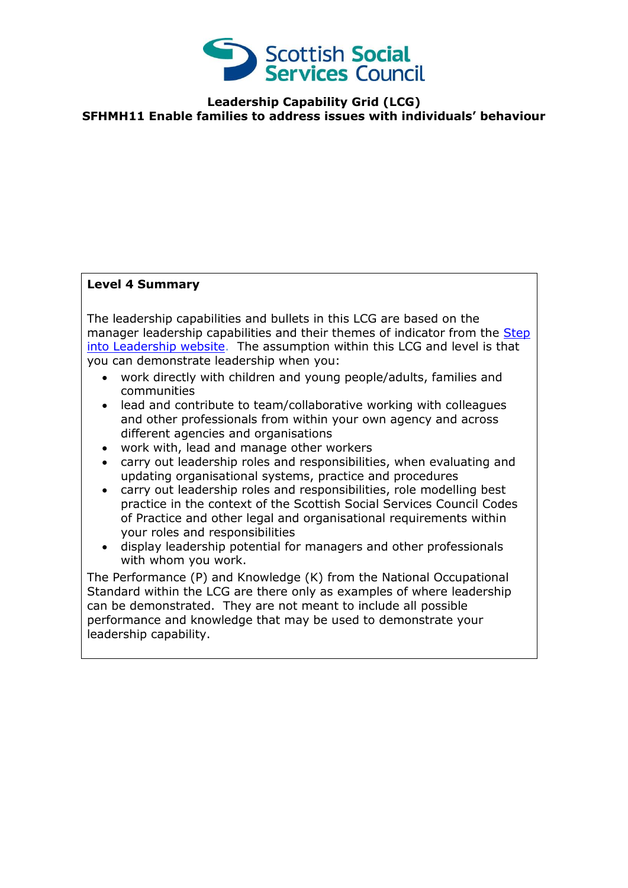

**Leadership Capability Grid (LCG) SFHMH11 Enable families to address issues with individuals' behaviour**

## **Level 4 Summary**

The leadership capabilities and bullets in this LCG are based on the manager leadership capabilities and their themes of indicator from the Step [into Leadership website.](http://www.stepintoleadership.info/index.html) The assumption within this LCG and level is that you can demonstrate leadership when you:

- work directly with children and young people/adults, families and communities
- lead and contribute to team/collaborative working with colleagues and other professionals from within your own agency and across different agencies and organisations
- work with, lead and manage other workers
- carry out leadership roles and responsibilities, when evaluating and updating organisational systems, practice and procedures
- carry out leadership roles and responsibilities, role modelling best practice in the context of the Scottish Social Services Council Codes of Practice and other legal and organisational requirements within your roles and responsibilities
- display leadership potential for managers and other professionals with whom you work.

The Performance (P) and Knowledge (K) from the National Occupational Standard within the LCG are there only as examples of where leadership can be demonstrated. They are not meant to include all possible performance and knowledge that may be used to demonstrate your leadership capability.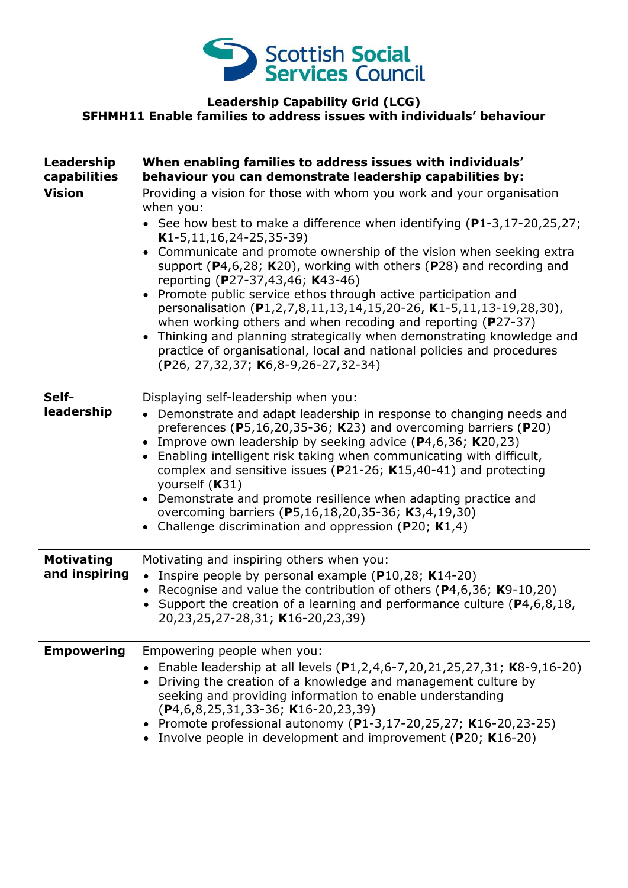

## **Leadership Capability Grid (LCG) SFHMH11 Enable families to address issues with individuals' behaviour**

| Leadership<br>capabilities         | When enabling families to address issues with individuals'<br>behaviour you can demonstrate leadership capabilities by:                                                                                                                                                                                                                                                                                                                                                                                                                                                                                                                                                                                                                                                                                                               |
|------------------------------------|---------------------------------------------------------------------------------------------------------------------------------------------------------------------------------------------------------------------------------------------------------------------------------------------------------------------------------------------------------------------------------------------------------------------------------------------------------------------------------------------------------------------------------------------------------------------------------------------------------------------------------------------------------------------------------------------------------------------------------------------------------------------------------------------------------------------------------------|
| <b>Vision</b>                      | Providing a vision for those with whom you work and your organisation<br>when you:<br>• See how best to make a difference when identifying $(P1-3, 17-20, 25, 27)$ ;<br>$K1-5, 11, 16, 24-25, 35-39)$<br>Communicate and promote ownership of the vision when seeking extra<br>$\bullet$<br>support ( $P4,6,28$ ; K20), working with others ( $P28$ ) and recording and<br>reporting (P27-37,43,46; K43-46)<br>• Promote public service ethos through active participation and<br>personalisation (P1,2,7,8,11,13,14,15,20-26, K1-5,11,13-19,28,30),<br>when working others and when recoding and reporting ( $P27-37$ )<br>Thinking and planning strategically when demonstrating knowledge and<br>$\bullet$<br>practice of organisational, local and national policies and procedures<br>$(P26, 27, 32, 37; K6, 8-9, 26-27, 32-34)$ |
| Self-<br>leadership                | Displaying self-leadership when you:<br>• Demonstrate and adapt leadership in response to changing needs and<br>preferences ( $P5,16,20,35-36$ ; K23) and overcoming barriers ( $P20$ )<br>Improve own leadership by seeking advice $(P4, 6, 36; K20, 23)$<br>$\bullet$<br>Enabling intelligent risk taking when communicating with difficult,<br>$\bullet$<br>complex and sensitive issues ( $P$ 21-26; K15,40-41) and protecting<br>yourself (K31)<br>Demonstrate and promote resilience when adapting practice and<br>$\bullet$<br>overcoming barriers (P5,16,18,20,35-36; K3,4,19,30)<br>Challenge discrimination and oppression ( $P20$ ; K1,4)<br>$\bullet$                                                                                                                                                                     |
| <b>Motivating</b><br>and inspiring | Motivating and inspiring others when you:<br>• Inspire people by personal example ( $P10,28$ ; K14-20)<br>• Recognise and value the contribution of others ( $P$ 4,6,36; K9-10,20)<br>• Support the creation of a learning and performance culture ( $P4, 6, 8, 18$ ,<br>20,23,25,27-28,31; K16-20,23,39)                                                                                                                                                                                                                                                                                                                                                                                                                                                                                                                             |
| <b>Empowering</b>                  | Empowering people when you:<br>• Enable leadership at all levels $(P1, 2, 4, 6-7, 20, 21, 25, 27, 31; K8-9, 16-20)$<br>Driving the creation of a knowledge and management culture by<br>seeking and providing information to enable understanding<br>$(P4, 6, 8, 25, 31, 33 - 36; K16 - 20, 23, 39)$<br>Promote professional autonomy (P1-3,17-20,25,27; K16-20,23-25)<br>Involve people in development and improvement (P20; K16-20)                                                                                                                                                                                                                                                                                                                                                                                                 |